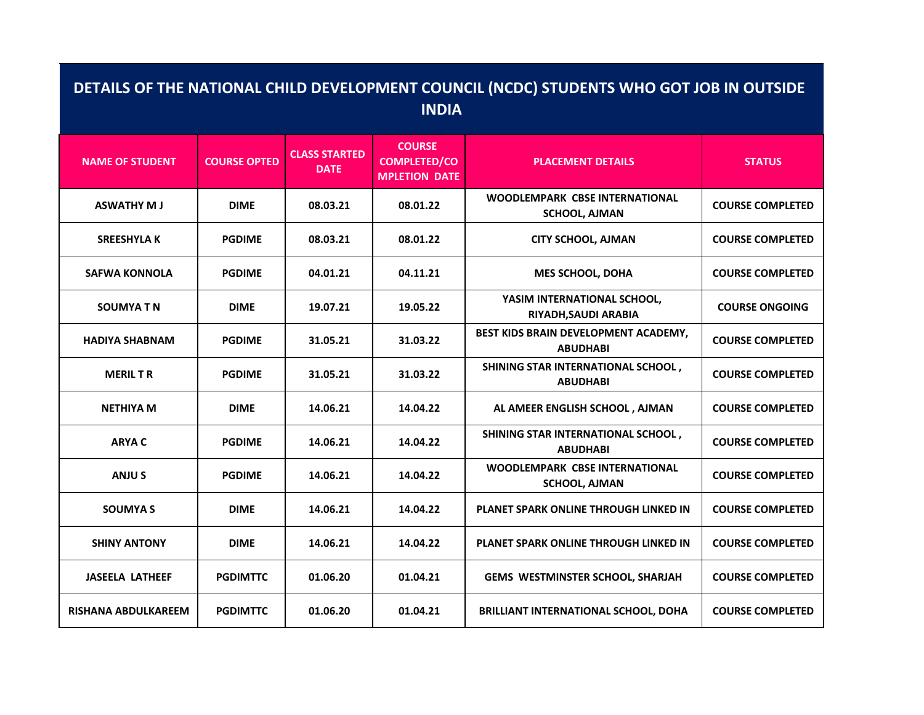| DETAILS OF THE NATIONAL CHILD DEVELOPMENT COUNCIL (NCDC) STUDENTS WHO GOT JOB IN OUTSIDE<br><b>INDIA</b> |                     |                                     |                                                              |                                                               |                         |  |  |  |
|----------------------------------------------------------------------------------------------------------|---------------------|-------------------------------------|--------------------------------------------------------------|---------------------------------------------------------------|-------------------------|--|--|--|
| <b>NAME OF STUDENT</b>                                                                                   | <b>COURSE OPTED</b> | <b>CLASS STARTED</b><br><b>DATE</b> | <b>COURSE</b><br><b>COMPLETED/CO</b><br><b>MPLETION DATE</b> | <b>PLACEMENT DETAILS</b>                                      | <b>STATUS</b>           |  |  |  |
| <b>ASWATHY MJ</b>                                                                                        | <b>DIME</b>         | 08.03.21                            | 08.01.22                                                     | WOODLEMPARK CBSE INTERNATIONAL<br><b>SCHOOL, AJMAN</b>        | <b>COURSE COMPLETED</b> |  |  |  |
| <b>SREESHYLA K</b>                                                                                       | <b>PGDIME</b>       | 08.03.21                            | 08.01.22                                                     | <b>CITY SCHOOL, AJMAN</b>                                     | <b>COURSE COMPLETED</b> |  |  |  |
| <b>SAFWA KONNOLA</b>                                                                                     | <b>PGDIME</b>       | 04.01.21                            | 04.11.21                                                     | <b>MES SCHOOL, DOHA</b>                                       | <b>COURSE COMPLETED</b> |  |  |  |
| <b>SOUMYA TN</b>                                                                                         | <b>DIME</b>         | 19.07.21                            | 19.05.22                                                     | YASIM INTERNATIONAL SCHOOL,<br>RIYADH, SAUDI ARABIA           | <b>COURSE ONGOING</b>   |  |  |  |
| <b>HADIYA SHABNAM</b>                                                                                    | <b>PGDIME</b>       | 31.05.21                            | 31.03.22                                                     | BEST KIDS BRAIN DEVELOPMENT ACADEMY,<br><b>ABUDHABI</b>       | <b>COURSE COMPLETED</b> |  |  |  |
| <b>MERIL T R</b>                                                                                         | <b>PGDIME</b>       | 31.05.21                            | 31.03.22                                                     | SHINING STAR INTERNATIONAL SCHOOL,<br><b>ABUDHABI</b>         | <b>COURSE COMPLETED</b> |  |  |  |
| <b>NETHIYA M</b>                                                                                         | <b>DIME</b>         | 14.06.21                            | 14.04.22                                                     | AL AMEER ENGLISH SCHOOL, AJMAN                                | <b>COURSE COMPLETED</b> |  |  |  |
| <b>ARYAC</b>                                                                                             | <b>PGDIME</b>       | 14.06.21                            | 14.04.22                                                     | SHINING STAR INTERNATIONAL SCHOOL,<br><b>ABUDHABI</b>         | <b>COURSE COMPLETED</b> |  |  |  |
| <b>ANJUS</b>                                                                                             | <b>PGDIME</b>       | 14.06.21                            | 14.04.22                                                     | <b>WOODLEMPARK CBSE INTERNATIONAL</b><br><b>SCHOOL, AJMAN</b> | <b>COURSE COMPLETED</b> |  |  |  |
| <b>SOUMYA S</b>                                                                                          | <b>DIME</b>         | 14.06.21                            | 14.04.22                                                     | <b>PLANET SPARK ONLINE THROUGH LINKED IN</b>                  | <b>COURSE COMPLETED</b> |  |  |  |
| <b>SHINY ANTONY</b>                                                                                      | <b>DIME</b>         | 14.06.21                            | 14.04.22                                                     | PLANET SPARK ONLINE THROUGH LINKED IN                         | <b>COURSE COMPLETED</b> |  |  |  |
| <b>JASEELA LATHEEF</b>                                                                                   | <b>PGDIMTTC</b>     | 01.06.20                            | 01.04.21                                                     | GEMS WESTMINSTER SCHOOL, SHARJAH                              | <b>COURSE COMPLETED</b> |  |  |  |
| <b>RISHANA ABDULKAREEM</b>                                                                               | <b>PGDIMTTC</b>     | 01.06.20                            | 01.04.21                                                     | <b>BRILLIANT INTERNATIONAL SCHOOL, DOHA</b>                   | <b>COURSE COMPLETED</b> |  |  |  |